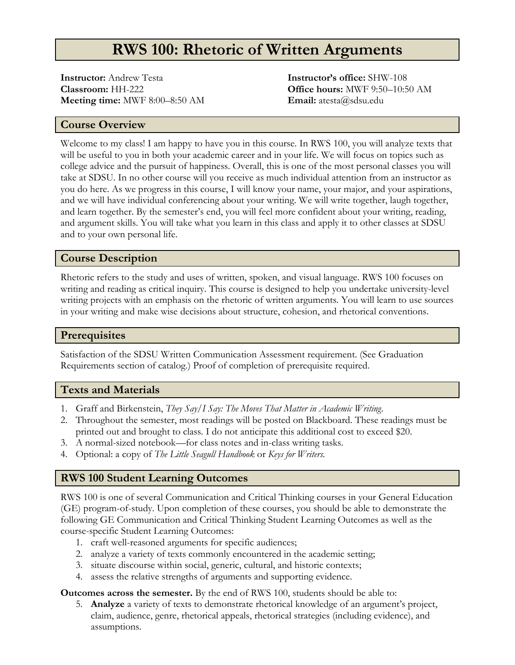# **RWS 100: Rhetoric of Written Arguments**

**Instructor:** Andrew Testa **Classroom:** HH-222 **Meeting time:** MWF 8:00–8:50 AM

**Instructor's office:** SHW-108 **Office hours:** MWF 9:50–10:50 AM **Email:** atesta@sdsu.edu

### **Course Overview**

Welcome to my class! I am happy to have you in this course. In RWS 100, you will analyze texts that will be useful to you in both your academic career and in your life. We will focus on topics such as college advice and the pursuit of happiness. Overall, this is one of the most personal classes you will take at SDSU. In no other course will you receive as much individual attention from an instructor as you do here. As we progress in this course, I will know your name, your major, and your aspirations, and we will have individual conferencing about your writing. We will write together, laugh together, and learn together. By the semester's end, you will feel more confident about your writing, reading, and argument skills. You will take what you learn in this class and apply it to other classes at SDSU and to your own personal life.

### **Course Description**

Rhetoric refers to the study and uses of written, spoken, and visual language. RWS 100 focuses on writing and reading as critical inquiry. This course is designed to help you undertake university-level writing projects with an emphasis on the rhetoric of written arguments. You will learn to use sources in your writing and make wise decisions about structure, cohesion, and rhetorical conventions.

#### **Prerequisites**

Satisfaction of the SDSU Written Communication Assessment requirement. (See Graduation Requirements section of catalog.) Proof of completion of prerequisite required.

#### **Texts and Materials**

- 1. Graff and Birkenstein, *They Say/I Say: The Moves That Matter in Academic Writing*.
- 2. Throughout the semester, most readings will be posted on Blackboard. These readings must be printed out and brought to class. I do not anticipate this additional cost to exceed \$20.
- 3. A normal-sized notebook—for class notes and in-class writing tasks.
- 4. Optional: a copy of *The Little Seagull Handbook* or *Keys for Writers.*

#### **RWS 100 Student Learning Outcomes**

RWS 100 is one of several Communication and Critical Thinking courses in your General Education (GE) program-of-study. Upon completion of these courses, you should be able to demonstrate the following GE Communication and Critical Thinking Student Learning Outcomes as well as the course-specific Student Learning Outcomes:

- 1. craft well-reasoned arguments for specific audiences;
- 2. analyze a variety of texts commonly encountered in the academic setting;
- 3. situate discourse within social, generic, cultural, and historic contexts;
- 4. assess the relative strengths of arguments and supporting evidence.

**Outcomes across the semester.** By the end of RWS 100, students should be able to:

5. **Analyze** a variety of texts to demonstrate rhetorical knowledge of an argument's project, claim, audience, genre, rhetorical appeals, rhetorical strategies (including evidence), and assumptions.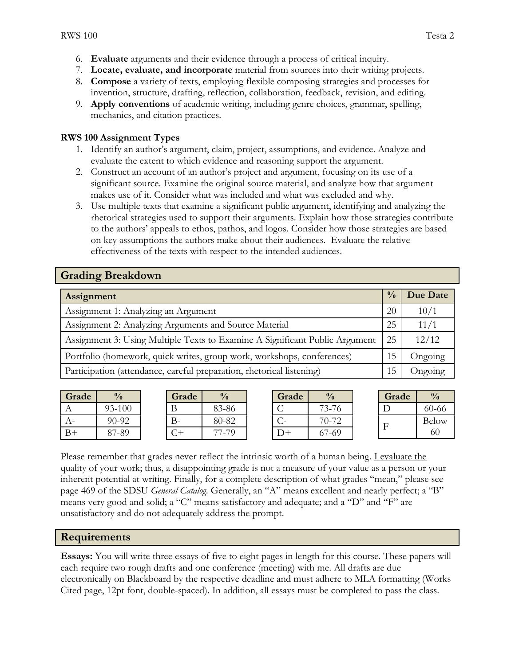- 6. **Evaluate** arguments and their evidence through a process of critical inquiry.
- 7. **Locate, evaluate, and incorporate** material from sources into their writing projects.
- 8. **Compose** a variety of texts, employing flexible composing strategies and processes for invention, structure, drafting, reflection, collaboration, feedback, revision, and editing.
- 9. **Apply conventions** of academic writing, including genre choices, grammar, spelling, mechanics, and citation practices.

#### **RWS 100 Assignment Types**

- 1. Identify an author's argument, claim, project, assumptions, and evidence. Analyze and evaluate the extent to which evidence and reasoning support the argument.
- 2. Construct an account of an author's project and argument, focusing on its use of a significant source. Examine the original source material, and analyze how that argument makes use of it. Consider what was included and what was excluded and why.
- 3. Use multiple texts that examine a significant public argument, identifying and analyzing the rhetorical strategies used to support their arguments. Explain how those strategies contribute to the authors' appeals to ethos, pathos, and logos. Consider how those strategies are based on key assumptions the authors make about their audiences. Evaluate the relative effectiveness of the texts with respect to the intended audiences.

## **Grading Breakdown**

| Assignment                                                                  | $\frac{0}{0}$ | Due Date |
|-----------------------------------------------------------------------------|---------------|----------|
| Assignment 1: Analyzing an Argument                                         | 20            | 10/1     |
| Assignment 2: Analyzing Arguments and Source Material                       | 25            | 11/1     |
| Assignment 3: Using Multiple Texts to Examine A Significant Public Argument | 25            | 12/12    |
| Portfolio (homework, quick writes, group work, workshops, conferences)      | 15            | Ongoing  |
| Participation (attendance, careful preparation, rhetorical listening)       |               | Ongoing  |

| Grade | $\frac{0}{0}$ |
|-------|---------------|
|       | 93-100        |
|       | $90-92$       |
| $B+$  | 87-89         |

| Grade | $\frac{0}{0}$ |
|-------|---------------|
| В     | 83-86         |
| $B -$ | 80-82         |
|       | 77-79         |

| Grade   | $\frac{0}{0}$ |
|---------|---------------|
|         | 73-76         |
|         | 70-72         |
| $+(-1)$ | 67-69         |

| Grade |              |
|-------|--------------|
|       | 60-66        |
| H     | <b>Below</b> |
|       | 60           |

Please remember that grades never reflect the intrinsic worth of a human being. I evaluate the quality of your work; thus, a disappointing grade is not a measure of your value as a person or your inherent potential at writing. Finally, for a complete description of what grades "mean," please see page 469 of the SDSU *General Catalog*. Generally, an "A" means excellent and nearly perfect; a "B" means very good and solid; a "C" means satisfactory and adequate; and a "D" and "F" are unsatisfactory and do not adequately address the prompt.

### **Requirements**

**Essays:** You will write three essays of five to eight pages in length for this course. These papers will each require two rough drafts and one conference (meeting) with me. All drafts are due electronically on Blackboard by the respective deadline and must adhere to MLA formatting (Works Cited page, 12pt font, double-spaced). In addition, all essays must be completed to pass the class.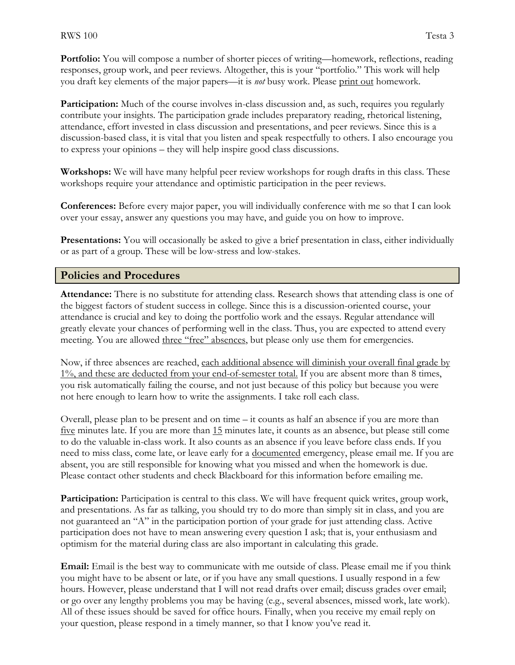**Portfolio:** You will compose a number of shorter pieces of writing—homework, reflections, reading responses, group work, and peer reviews. Altogether, this is your "portfolio." This work will help you draft key elements of the major papers—it is *not* busy work. Please print out homework.

**Participation:** Much of the course involves in-class discussion and, as such, requires you regularly contribute your insights. The participation grade includes preparatory reading, rhetorical listening, attendance, effort invested in class discussion and presentations, and peer reviews. Since this is a discussion-based class, it is vital that you listen and speak respectfully to others. I also encourage you to express your opinions – they will help inspire good class discussions.

**Workshops:** We will have many helpful peer review workshops for rough drafts in this class. These workshops require your attendance and optimistic participation in the peer reviews.

**Conferences:** Before every major paper, you will individually conference with me so that I can look over your essay, answer any questions you may have, and guide you on how to improve.

**Presentations:** You will occasionally be asked to give a brief presentation in class, either individually or as part of a group. These will be low-stress and low-stakes.

#### **Policies and Procedures**

**Attendance:** There is no substitute for attending class. Research shows that attending class is one of the biggest factors of student success in college. Since this is a discussion-oriented course, your attendance is crucial and key to doing the portfolio work and the essays. Regular attendance will greatly elevate your chances of performing well in the class. Thus, you are expected to attend every meeting. You are allowed three "free" absences, but please only use them for emergencies.

Now, if three absences are reached, each additional absence will diminish your overall final grade by 1%, and these are deducted from your end-of-semester total. If you are absent more than 8 times, you risk automatically failing the course, and not just because of this policy but because you were not here enough to learn how to write the assignments. I take roll each class.

Overall, please plan to be present and on time – it counts as half an absence if you are more than five minutes late. If you are more than 15 minutes late, it counts as an absence, but please still come to do the valuable in-class work. It also counts as an absence if you leave before class ends. If you need to miss class, come late, or leave early for a documented emergency, please email me. If you are absent, you are still responsible for knowing what you missed and when the homework is due. Please contact other students and check Blackboard for this information before emailing me.

**Participation:** Participation is central to this class. We will have frequent quick writes, group work, and presentations. As far as talking, you should try to do more than simply sit in class, and you are not guaranteed an "A" in the participation portion of your grade for just attending class. Active participation does not have to mean answering every question I ask; that is, your enthusiasm and optimism for the material during class are also important in calculating this grade.

**Email:** Email is the best way to communicate with me outside of class. Please email me if you think you might have to be absent or late, or if you have any small questions. I usually respond in a few hours. However, please understand that I will not read drafts over email; discuss grades over email; or go over any lengthy problems you may be having (e.g., several absences, missed work, late work). All of these issues should be saved for office hours. Finally, when you receive my email reply on your question, please respond in a timely manner, so that I know you've read it.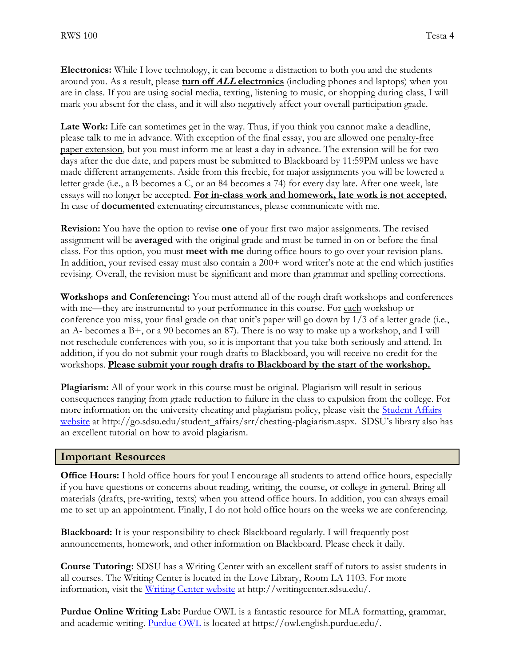**Electronics:** While I love technology, it can become a distraction to both you and the students around you. As a result, please **turn off ALL electronics** (including phones and laptops) when you are in class. If you are using social media, texting, listening to music, or shopping during class, I will mark you absent for the class, and it will also negatively affect your overall participation grade.

Late Work: Life can sometimes get in the way. Thus, if you think you cannot make a deadline, please talk to me in advance. With exception of the final essay, you are allowed one penalty-free paper extension, but you must inform me at least a day in advance. The extension will be for two days after the due date, and papers must be submitted to Blackboard by 11:59PM unless we have made different arrangements. Aside from this freebie, for major assignments you will be lowered a letter grade (i.e., a B becomes a C, or an 84 becomes a 74) for every day late. After one week, late essays will no longer be accepted. **For in-class work and homework, late work is not accepted.** In case of **documented** extenuating circumstances, please communicate with me.

**Revision:** You have the option to revise **one** of your first two major assignments. The revised assignment will be **averaged** with the original grade and must be turned in on or before the final class. For this option, you must **meet with me** during office hours to go over your revision plans. In addition, your revised essay must also contain a 200+ word writer's note at the end which justifies revising. Overall, the revision must be significant and more than grammar and spelling corrections.

**Workshops and Conferencing:** You must attend all of the rough draft workshops and conferences with me—they are instrumental to your performance in this course. For each workshop or conference you miss, your final grade on that unit's paper will go down by 1/3 of a letter grade (i.e., an A- becomes a B+, or a 90 becomes an 87). There is no way to make up a workshop, and I will not reschedule conferences with you, so it is important that you take both seriously and attend. In addition, if you do not submit your rough drafts to Blackboard, you will receive no credit for the workshops. **Please submit your rough drafts to Blackboard by the start of the workshop.**

**Plagiarism:** All of your work in this course must be original. Plagiarism will result in serious consequences ranging from grade reduction to failure in the class to expulsion from the college. For more information on the university cheating and plagiarism policy, please visit the **Student Affairs** [website](http://go.sdsu.edu/student_affairs/srr/cheating-plagiarism.aspx) at http://go.sdsu.edu/student\_affairs/srr/cheating-plagiarism.aspx. SDSU's library also has an excellent tutorial on how to avoid plagiarism.

#### **Important Resources**

**Office Hours:** I hold office hours for you! I encourage all students to attend office hours, especially if you have questions or concerns about reading, writing, the course, or college in general. Bring all materials (drafts, pre-writing, texts) when you attend office hours. In addition, you can always email me to set up an appointment. Finally, I do not hold office hours on the weeks we are conferencing.

**Blackboard:** It is your responsibility to check Blackboard regularly. I will frequently post announcements, homework, and other information on Blackboard. Please check it daily.

**Course Tutoring:** SDSU has a Writing Center with an excellent staff of tutors to assist students in all courses. The Writing Center is located in the Love Library, Room LA 1103. For more information, visit the [Writing Center website](file:///F:/Documents/_sdsu/Fall%2017/Teaching/Writing%20Center%20website) at http://writingcenter.sdsu.edu/.

**Purdue Online Writing Lab:** Purdue OWL is a fantastic resource for MLA formatting, grammar, and academic writing. [Purdue OWL](https://owl.english.purdue.edu/) is located at https://owl.english.purdue.edu/.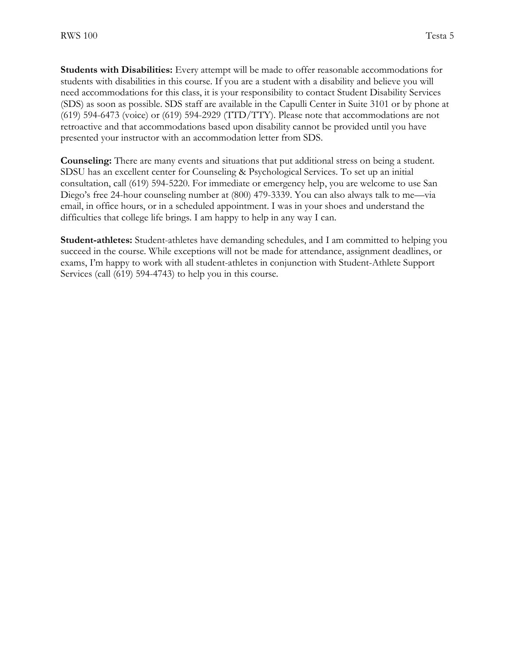**Students with Disabilities:** Every attempt will be made to offer reasonable accommodations for students with disabilities in this course. If you are a student with a disability and believe you will need accommodations for this class, it is your responsibility to contact Student Disability Services (SDS) as soon as possible. SDS staff are available in the Capulli Center in Suite 3101 or by phone at  $(619)$  594-6473 (voice) or  $(619)$  594-2929 (TTD/TTY). Please note that accommodations are not retroactive and that accommodations based upon disability cannot be provided until you have presented your instructor with an accommodation letter from SDS.

**Counseling:** There are many events and situations that put additional stress on being a student. SDSU has an excellent center for Counseling & Psychological Services. To set up an initial consultation, call (619) 594-5220. For immediate or emergency help, you are welcome to use San Diego's free 24-hour counseling number at (800) 479-3339. You can also always talk to me—via email, in office hours, or in a scheduled appointment. I was in your shoes and understand the difficulties that college life brings. I am happy to help in any way I can.

**Student-athletes:** Student-athletes have demanding schedules, and I am committed to helping you succeed in the course. While exceptions will not be made for attendance, assignment deadlines, or exams, I'm happy to work with all student-athletes in conjunction with Student-Athlete Support Services (call (619) 594-4743) to help you in this course.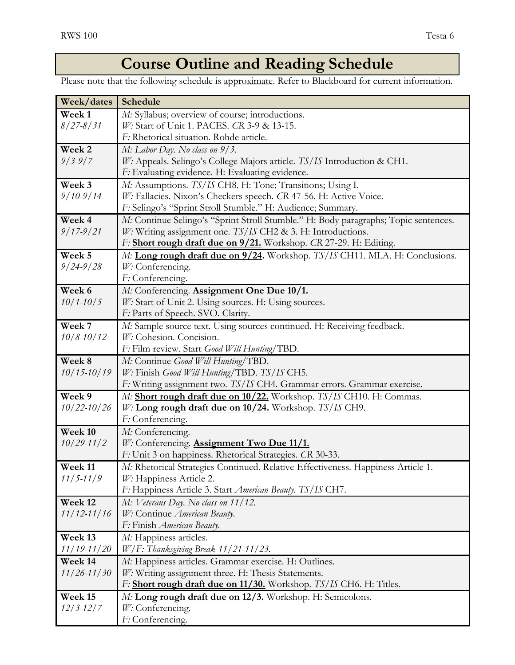# **Course Outline and Reading Schedule**

Please note that the following schedule is approximate. Refer to Blackboard for current information.

| Week/dates        | Schedule                                                                            |
|-------------------|-------------------------------------------------------------------------------------|
| Week <sub>1</sub> | M: Syllabus; overview of course; introductions.                                     |
| $8/27 - 8/31$     | W: Start of Unit 1. PACES. CR 3-9 & 13-15.                                          |
|                   | F: Rhetorical situation. Rohde article.                                             |
| Week 2            | M: Labor Day. No class on 9/3.                                                      |
| $9/3 - 9/7$       | W: Appeals. Selingo's College Majors article. TS/IS Introduction & CH1.             |
|                   | F: Evaluating evidence. H: Evaluating evidence.                                     |
| Week 3            | M: Assumptions. TS/IS CH8. H: Tone; Transitions; Using I.                           |
| $9/10-9/14$       | W: Fallacies. Nixon's Checkers speech. CR 47-56. H: Active Voice.                   |
|                   | F: Selingo's "Sprint Stroll Stumble." H: Audience; Summary.                         |
| Week 4            | M: Continue Selingo's "Sprint Stroll Stumble." H: Body paragraphs; Topic sentences. |
| $9/17 - 9/21$     | $W$ : Writing assignment one. TS/IS CH2 & 3. H: Introductions.                      |
|                   | F: Short rough draft due on 9/21. Workshop. CR 27-29. H: Editing.                   |
| Week 5            | M: Long rough draft due on 9/24. Workshop. TS/IS CH11. MLA. H: Conclusions.         |
| $9/24 - 9/28$     | W: Conferencing.                                                                    |
|                   | F: Conferencing.                                                                    |
| Week 6            | M: Conferencing. <b>Assignment One Due 10/1.</b>                                    |
| $10/1 - 10/5$     | W: Start of Unit 2. Using sources. H: Using sources.                                |
|                   | F: Parts of Speech. SVO. Clarity.                                                   |
| Week 7            | M: Sample source text. Using sources continued. H: Receiving feedback.              |
| $10/8 - 10/12$    | W: Cohesion. Concision.                                                             |
|                   | F: Film review. Start Good Will Hunting/TBD.                                        |
| Week 8            | M: Continue Good Will Hunting/TBD.                                                  |
| $10/15 - 10/19$   | W: Finish Good Will Hunting/TBD. TS/IS CH5.                                         |
|                   | F: Writing assignment two. TS/IS CH4. Grammar errors. Grammar exercise.             |
| Week 9            | M: Short rough draft due on 10/22. Workshop. TS/IS CH10. H: Commas.                 |
| $10/22 - 10/26$   | W: Long rough draft due on 10/24. Workshop. TS/IS CH9.                              |
|                   | F: Conferencing.                                                                    |
| Week 10           | M: Conferencing.                                                                    |
| $10/29 - 11/2$    | W: Conferencing. <b>Assignment Two Due 11/1.</b>                                    |
|                   | F: Unit 3 on happiness. Rhetorical Strategies. CR 30-33.                            |
| Week 11           | M: Rhetorical Strategies Continued. Relative Effectiveness. Happiness Article 1.    |
| $11/5 - 11/9$     | W: Happiness Article 2.                                                             |
|                   | F: Happiness Article 3. Start American Beauty. TS/IS CH7.                           |
| Week 12           | M: Veterans Day. No class on 11/12.                                                 |
| $11/12 - 11/16$   | W: Continue American Beauty.                                                        |
|                   | F: Finish American Beauty.                                                          |
| Week 13           | M: Happiness articles.                                                              |
| $11/19 - 11/20$   | W/F: Thanksgiving Break 11/21-11/23.                                                |
| Week 14           | M: Happiness articles. Grammar exercise. H: Outlines.                               |
| $11/26 - 11/30$   | W: Writing assignment three. H: Thesis Statements.                                  |
|                   | F: Short rough draft due on 11/30. Workshop. TS/IS CH6. H: Titles.                  |
| Week 15           | M: Long rough draft due on 12/3. Workshop. H: Semicolons.                           |
| $12/3 - 12/7$     | W: Conferencing.                                                                    |
|                   | F: Conferencing.                                                                    |